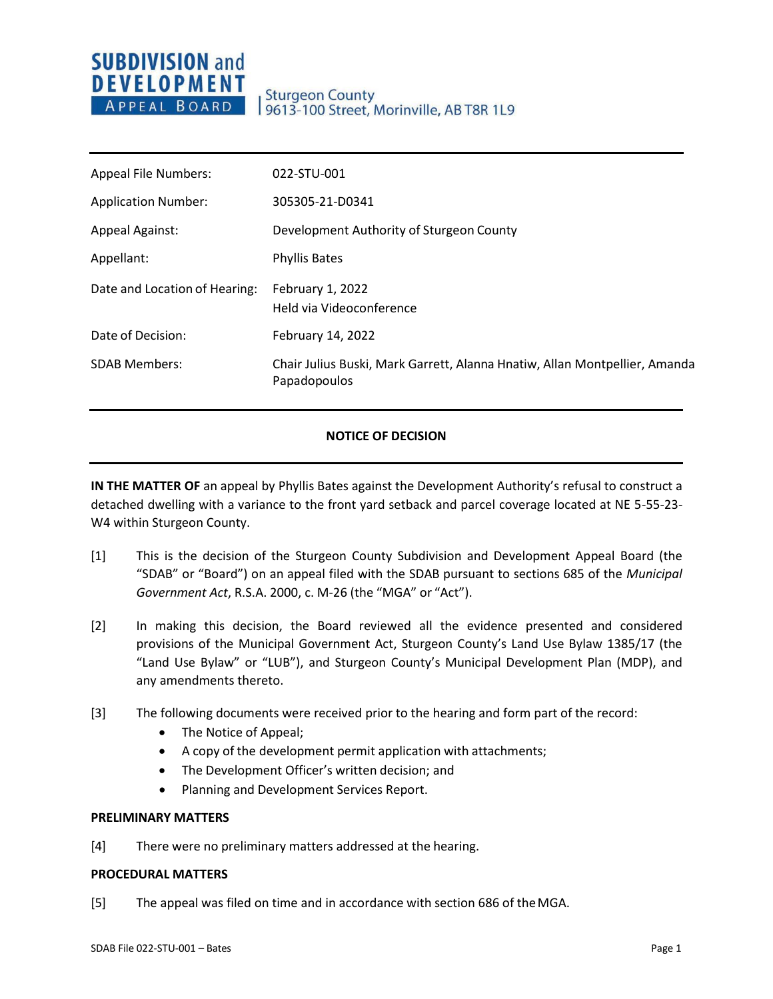# **SUBDIVISION and DEVELOPMENT** APPEAL BOARD

| <b>Appeal File Numbers:</b>   | 022-STU-001                                                                                |
|-------------------------------|--------------------------------------------------------------------------------------------|
| <b>Application Number:</b>    | 305305-21-D0341                                                                            |
| <b>Appeal Against:</b>        | Development Authority of Sturgeon County                                                   |
| Appellant:                    | <b>Phyllis Bates</b>                                                                       |
| Date and Location of Hearing: | February 1, 2022<br>Held via Videoconference                                               |
| Date of Decision:             | February 14, 2022                                                                          |
| <b>SDAB Members:</b>          | Chair Julius Buski, Mark Garrett, Alanna Hnatiw, Allan Montpellier, Amanda<br>Papadopoulos |

## **NOTICE OF DECISION**

**IN THE MATTER OF** an appeal by Phyllis Bates against the Development Authority's refusal to construct a detached dwelling with a variance to the front yard setback and parcel coverage located at NE 5-55-23- W4 within Sturgeon County.

- [1] This is the decision of the Sturgeon County Subdivision and Development Appeal Board (the "SDAB" or "Board") on an appeal filed with the SDAB pursuant to sections 685 of the *Municipal Government Act*, R.S.A. 2000, c. M-26 (the "MGA" or "Act").
- [2] In making this decision, the Board reviewed all the evidence presented and considered provisions of the Municipal Government Act, Sturgeon County's Land Use Bylaw 1385/17 (the "Land Use Bylaw" or "LUB"), and Sturgeon County's Municipal Development Plan (MDP), and any amendments thereto.
- [3] The following documents were received prior to the hearing and form part of the record:
	- The Notice of Appeal;
	- A copy of the development permit application with attachments;
	- The Development Officer's written decision; and
	- Planning and Development Services Report.

### **PRELIMINARY MATTERS**

[4] There were no preliminary matters addressed at the hearing.

### **PROCEDURAL MATTERS**

[5] The appeal was filed on time and in accordance with section 686 of theMGA.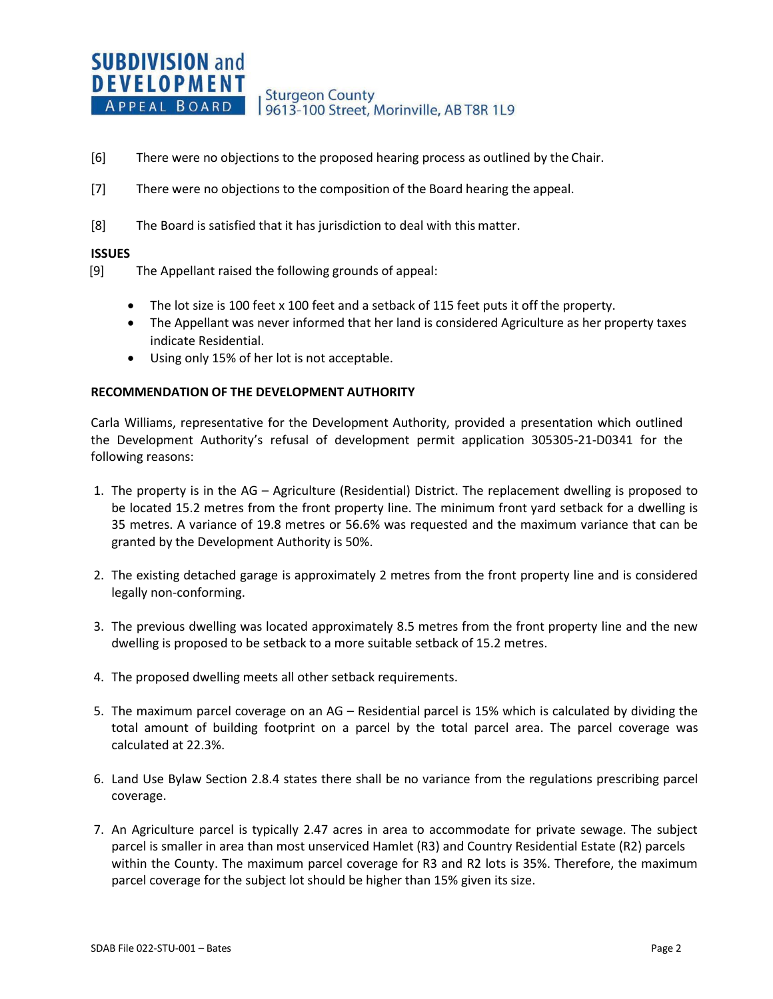- [6] There were no objections to the proposed hearing process as outlined by the Chair.
- [7] There were no objections to the composition of the Board hearing the appeal.
- [8] The Board is satisfied that it has jurisdiction to deal with this matter.

### **ISSUES**

- [9] The Appellant raised the following grounds of appeal:
	- The lot size is 100 feet x 100 feet and a setback of 115 feet puts it off the property.
	- The Appellant was never informed that her land is considered Agriculture as her property taxes indicate Residential.
	- Using only 15% of her lot is not acceptable.

### **RECOMMENDATION OF THE DEVELOPMENT AUTHORITY**

Carla Williams, representative for the Development Authority, provided a presentation which outlined the Development Authority's refusal of development permit application 305305-21-D0341 for the following reasons:

- 1. The property is in the AG Agriculture (Residential) District. The replacement dwelling is proposed to be located 15.2 metres from the front property line. The minimum front yard setback for a dwelling is 35 metres. A variance of 19.8 metres or 56.6% was requested and the maximum variance that can be granted by the Development Authority is 50%.
- 2. The existing detached garage is approximately 2 metres from the front property line and is considered legally non-conforming.
- 3. The previous dwelling was located approximately 8.5 metres from the front property line and the new dwelling is proposed to be setback to a more suitable setback of 15.2 metres.
- 4. The proposed dwelling meets all other setback requirements.
- 5. The maximum parcel coverage on an AG Residential parcel is 15% which is calculated by dividing the total amount of building footprint on a parcel by the total parcel area. The parcel coverage was calculated at 22.3%.
- 6. Land Use Bylaw Section 2.8.4 states there shall be no variance from the regulations prescribing parcel coverage.
- 7. An Agriculture parcel is typically 2.47 acres in area to accommodate for private sewage. The subject parcel is smaller in area than most unserviced Hamlet (R3) and Country Residential Estate (R2) parcels within the County. The maximum parcel coverage for R3 and R2 lots is 35%. Therefore, the maximum parcel coverage for the subject lot should be higher than 15% given its size.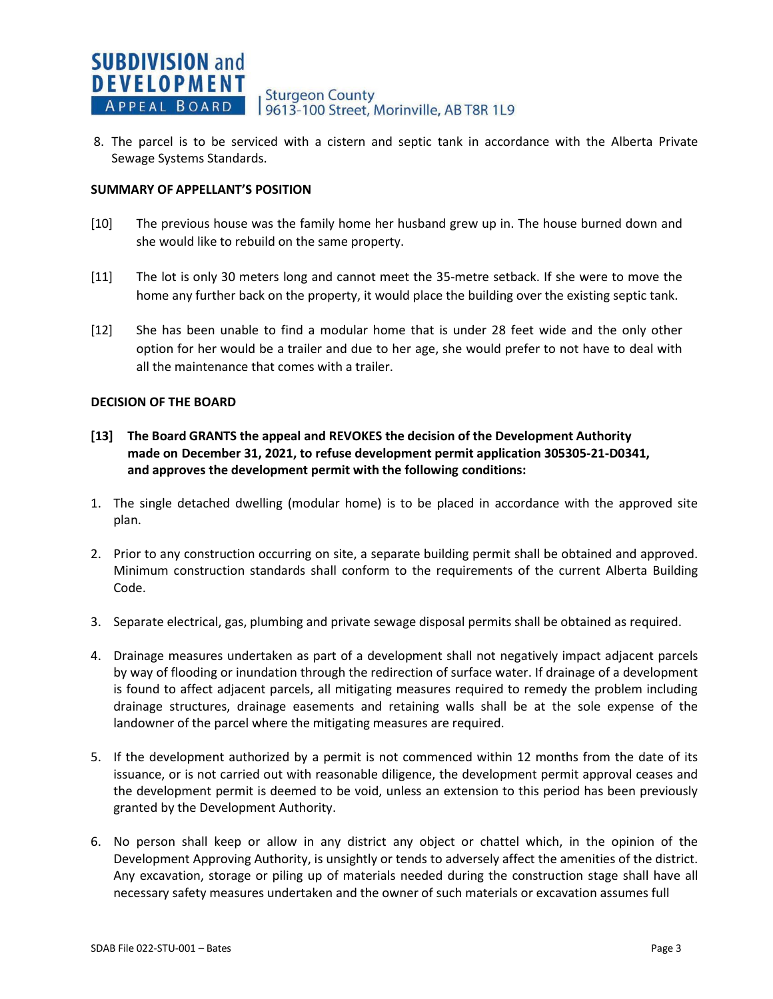8. The parcel is to be serviced with a cistern and septic tank in accordance with the Alberta Private Sewage Systems Standards.

## **SUMMARY OF APPELLANT'S POSITION**

- [10] The previous house was the family home her husband grew up in. The house burned down and she would like to rebuild on the same property.
- [11] The lot is only 30 meters long and cannot meet the 35-metre setback. If she were to move the home any further back on the property, it would place the building over the existing septic tank.
- [12] She has been unable to find a modular home that is under 28 feet wide and the only other option for her would be a trailer and due to her age, she would prefer to not have to deal with all the maintenance that comes with a trailer.

## **DECISION OF THE BOARD**

- **[13] The Board GRANTS the appeal and REVOKES the decision of the Development Authority made on December 31, 2021, to refuse development permit application 305305-21-D0341, and approves the development permit with the following conditions:**
- 1. The single detached dwelling (modular home) is to be placed in accordance with the approved site plan.
- 2. Prior to any construction occurring on site, a separate building permit shall be obtained and approved. Minimum construction standards shall conform to the requirements of the current Alberta Building Code.
- 3. Separate electrical, gas, plumbing and private sewage disposal permits shall be obtained as required.
- 4. Drainage measures undertaken as part of a development shall not negatively impact adjacent parcels by way of flooding or inundation through the redirection of surface water. If drainage of a development is found to affect adjacent parcels, all mitigating measures required to remedy the problem including drainage structures, drainage easements and retaining walls shall be at the sole expense of the landowner of the parcel where the mitigating measures are required.
- 5. If the development authorized by a permit is not commenced within 12 months from the date of its issuance, or is not carried out with reasonable diligence, the development permit approval ceases and the development permit is deemed to be void, unless an extension to this period has been previously granted by the Development Authority.
- 6. No person shall keep or allow in any district any object or chattel which, in the opinion of the Development Approving Authority, is unsightly or tends to adversely affect the amenities of the district. Any excavation, storage or piling up of materials needed during the construction stage shall have all necessary safety measures undertaken and the owner of such materials or excavation assumes full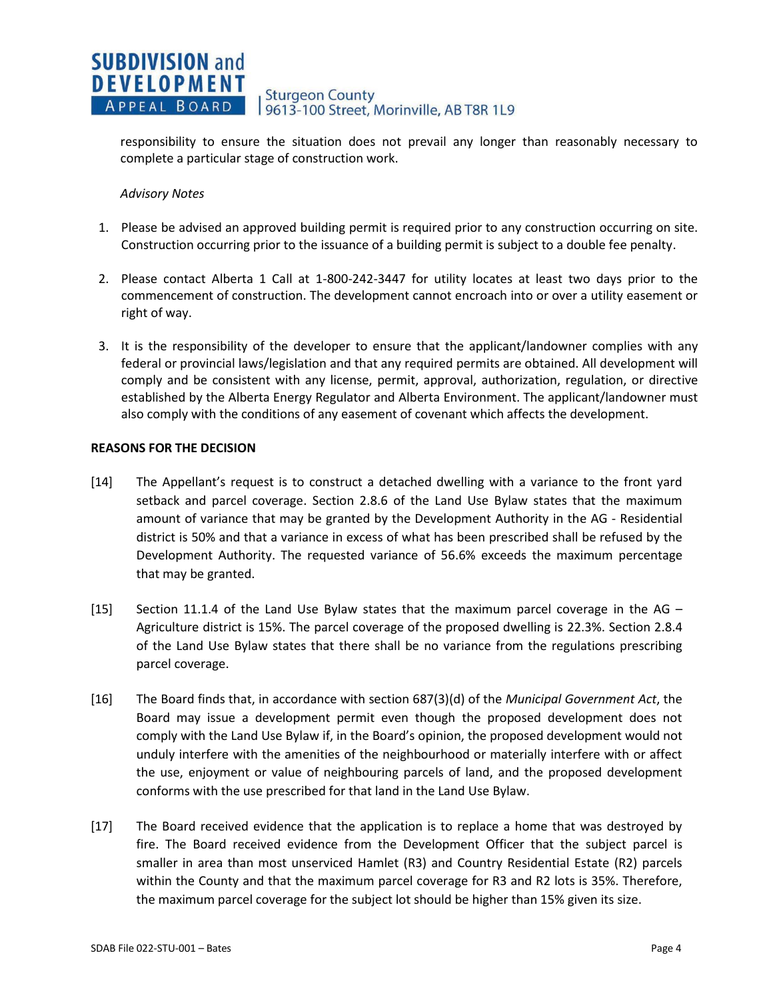#### **SUBDIVISION and DEVELOPMENT Sturgeon County** Sturgeon County<br>9613-100 Street, Morinville, AB T8R 1L9 APPEAL BOARD

responsibility to ensure the situation does not prevail any longer than reasonably necessary to complete a particular stage of construction work.

## *Advisory Notes*

- 1. Please be advised an approved building permit is required prior to any construction occurring on site. Construction occurring prior to the issuance of a building permit is subject to a double fee penalty.
- 2. Please contact Alberta 1 Call at 1-800-242-3447 for utility locates at least two days prior to the commencement of construction. The development cannot encroach into or over a utility easement or right of way.
- 3. It is the responsibility of the developer to ensure that the applicant/landowner complies with any federal or provincial laws/legislation and that any required permits are obtained. All development will comply and be consistent with any license, permit, approval, authorization, regulation, or directive established by the Alberta Energy Regulator and Alberta Environment. The applicant/landowner must also comply with the conditions of any easement of covenant which affects the development.

## **REASONS FOR THE DECISION**

- [14] The Appellant's request is to construct a detached dwelling with a variance to the front yard setback and parcel coverage. Section 2.8.6 of the Land Use Bylaw states that the maximum amount of variance that may be granted by the Development Authority in the AG - Residential district is 50% and that a variance in excess of what has been prescribed shall be refused by the Development Authority. The requested variance of 56.6% exceeds the maximum percentage that may be granted.
- [15] Section 11.1.4 of the Land Use Bylaw states that the maximum parcel coverage in the AG Agriculture district is 15%. The parcel coverage of the proposed dwelling is 22.3%. Section 2.8.4 of the Land Use Bylaw states that there shall be no variance from the regulations prescribing parcel coverage.
- [16] The Board finds that, in accordance with section 687(3)(d) of the *Municipal Government Act*, the Board may issue a development permit even though the proposed development does not comply with the Land Use Bylaw if, in the Board's opinion, the proposed development would not unduly interfere with the amenities of the neighbourhood or materially interfere with or affect the use, enjoyment or value of neighbouring parcels of land, and the proposed development conforms with the use prescribed for that land in the Land Use Bylaw.
- [17] The Board received evidence that the application is to replace a home that was destroyed by fire. The Board received evidence from the Development Officer that the subject parcel is smaller in area than most unserviced Hamlet (R3) and Country Residential Estate (R2) parcels within the County and that the maximum parcel coverage for R3 and R2 lots is 35%. Therefore, the maximum parcel coverage for the subject lot should be higher than 15% given its size.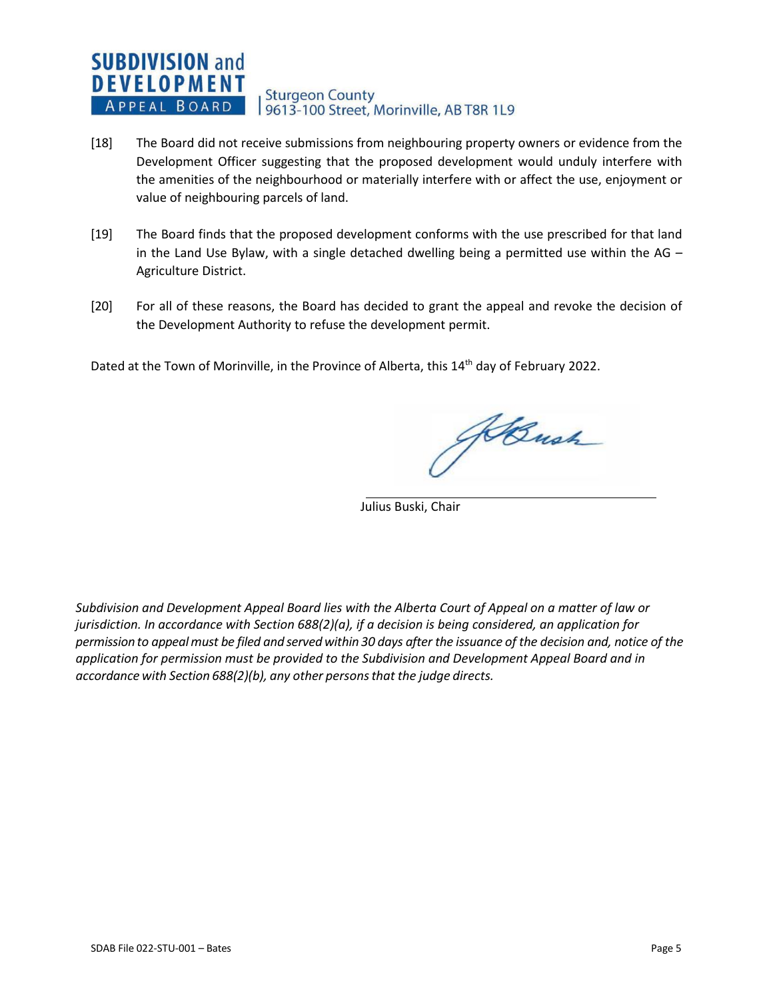### **SUBDIVISION and DEVELOPMENT Sturgeon County** APPEAL BOARD 9613-100 Street, Morinville, AB T8R 1L9

- [18] The Board did not receive submissions from neighbouring property owners or evidence from the Development Officer suggesting that the proposed development would unduly interfere with the amenities of the neighbourhood or materially interfere with or affect the use, enjoyment or value of neighbouring parcels of land.
- [19] The Board finds that the proposed development conforms with the use prescribed for that land in the Land Use Bylaw, with a single detached dwelling being a permitted use within the AG  $-$ Agriculture District.
- [20] For all of these reasons, the Board has decided to grant the appeal and revoke the decision of the Development Authority to refuse the development permit.

Dated at the Town of Morinville, in the Province of Alberta, this 14<sup>th</sup> day of February 2022.

HBush

Julius Buski, Chair

*Subdivision and Development Appeal Board lies with the Alberta Court of Appeal on a matter of law or jurisdiction. In accordance with Section 688(2)(a), if a decision is being considered, an application for* permission to appeal must be filed and served within 30 days after the issuance of the decision and, notice of the *application for permission must be provided to the Subdivision and Development Appeal Board and in accordance with Section 688(2)(b), any other personsthat the judge directs.*